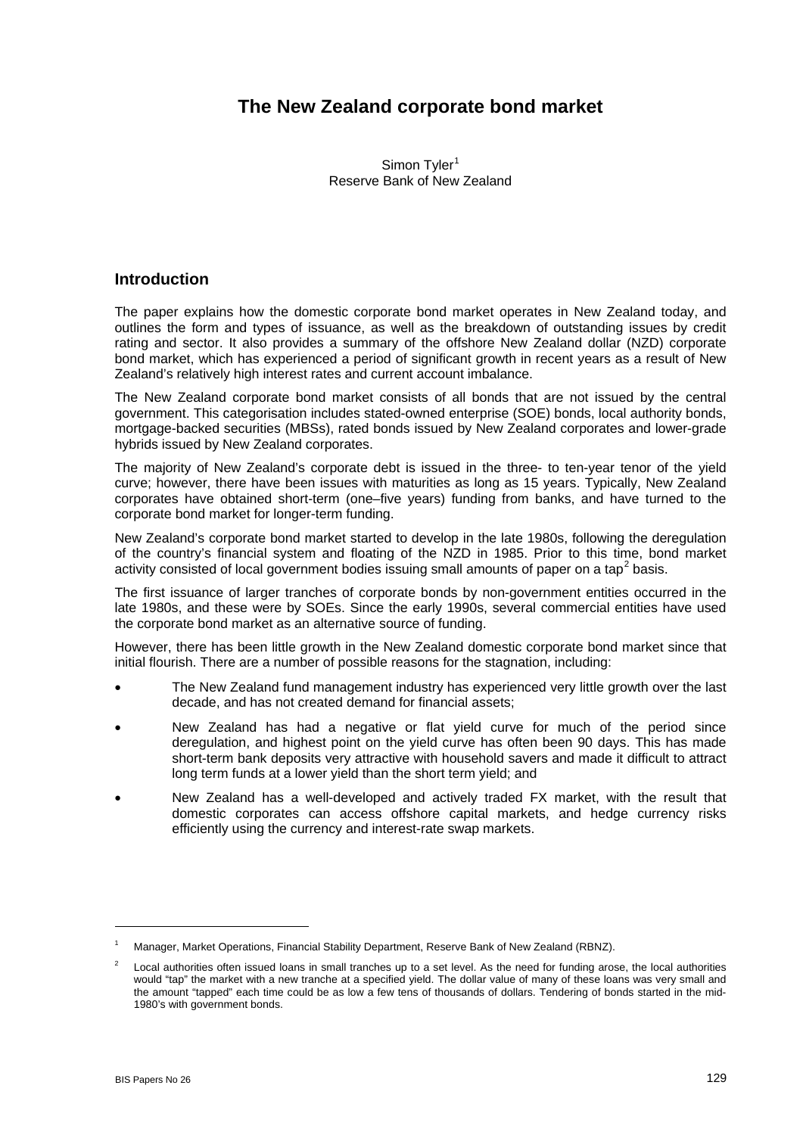# **The New Zealand corporate bond market**

Simon Tyler<sup>[1](#page-0-0)</sup> Reserve Bank of New Zealand

### **Introduction**

The paper explains how the domestic corporate bond market operates in New Zealand today, and outlines the form and types of issuance, as well as the breakdown of outstanding issues by credit rating and sector. It also provides a summary of the offshore New Zealand dollar (NZD) corporate bond market, which has experienced a period of significant growth in recent years as a result of New Zealand's relatively high interest rates and current account imbalance.

The New Zealand corporate bond market consists of all bonds that are not issued by the central government. This categorisation includes stated-owned enterprise (SOE) bonds, local authority bonds, mortgage-backed securities (MBSs), rated bonds issued by New Zealand corporates and lower-grade hybrids issued by New Zealand corporates.

The majority of New Zealand's corporate debt is issued in the three- to ten-year tenor of the yield curve; however, there have been issues with maturities as long as 15 years. Typically, New Zealand corporates have obtained short-term (one–five years) funding from banks, and have turned to the corporate bond market for longer-term funding.

New Zealand's corporate bond market started to develop in the late 1980s, following the deregulation of the country's financial system and floating of the NZD in 1985. Prior to this time, bond market activity consisted of local government bodies issuing small amounts of paper on a tap<sup>[2](#page-0-1)</sup> basis.

The first issuance of larger tranches of corporate bonds by non-government entities occurred in the late 1980s, and these were by SOEs. Since the early 1990s, several commercial entities have used the corporate bond market as an alternative source of funding.

However, there has been little growth in the New Zealand domestic corporate bond market since that initial flourish. There are a number of possible reasons for the stagnation, including:

- The New Zealand fund management industry has experienced very little growth over the last decade, and has not created demand for financial assets;
- New Zealand has had a negative or flat yield curve for much of the period since deregulation, and highest point on the yield curve has often been 90 days. This has made short-term bank deposits very attractive with household savers and made it difficult to attract long term funds at a lower yield than the short term yield; and
- New Zealand has a well-developed and actively traded FX market, with the result that domestic corporates can access offshore capital markets, and hedge currency risks efficiently using the currency and interest-rate swap markets.

1

<span id="page-0-0"></span><sup>1</sup> Manager, Market Operations, Financial Stability Department, Reserve Bank of New Zealand (RBNZ).

<span id="page-0-1"></span><sup>2</sup> Local authorities often issued loans in small tranches up to a set level. As the need for funding arose, the local authorities would "tap" the market with a new tranche at a specified yield. The dollar value of many of these loans was very small and the amount "tapped" each time could be as low a few tens of thousands of dollars. Tendering of bonds started in the mid-1980's with government bonds.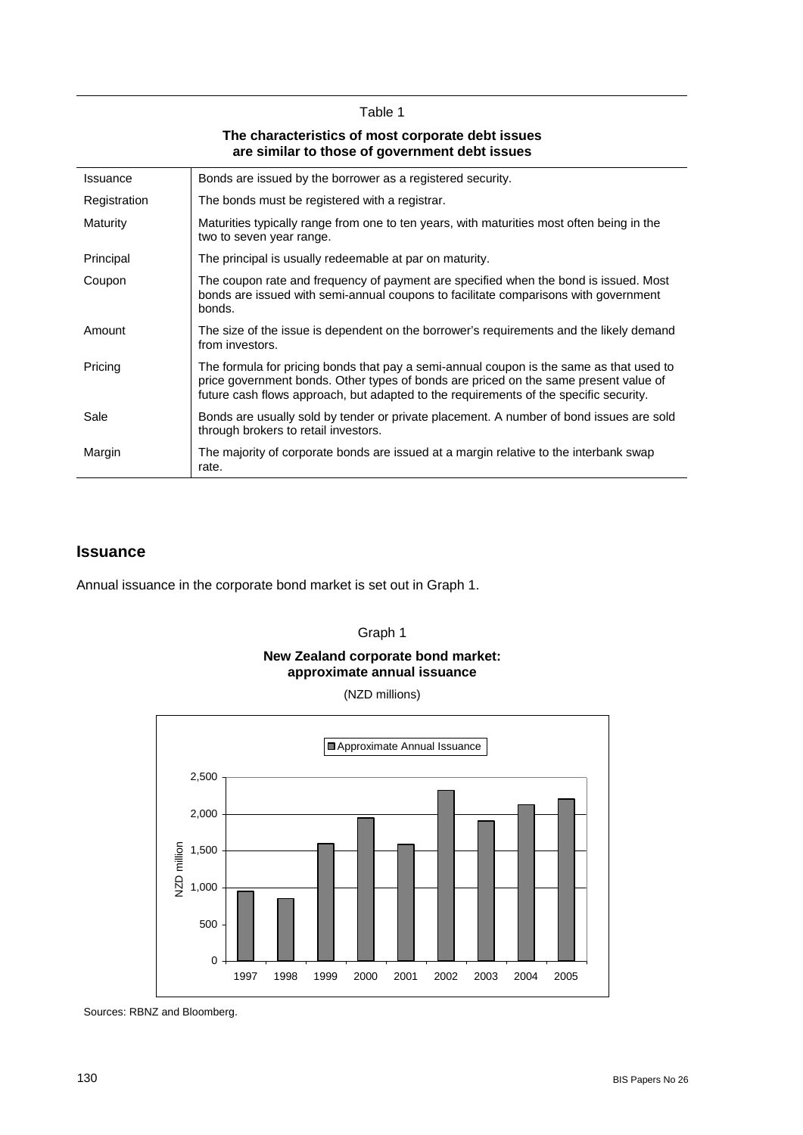#### Table 1

#### **The characteristics of most corporate debt issues are similar to those of government debt issues**

| <b>Issuance</b> | Bonds are issued by the borrower as a registered security.                                                                                                                                                                                                               |  |  |  |  |
|-----------------|--------------------------------------------------------------------------------------------------------------------------------------------------------------------------------------------------------------------------------------------------------------------------|--|--|--|--|
| Registration    | The bonds must be registered with a registrar.                                                                                                                                                                                                                           |  |  |  |  |
| Maturity        | Maturities typically range from one to ten years, with maturities most often being in the<br>two to seven year range.                                                                                                                                                    |  |  |  |  |
| Principal       | The principal is usually redeemable at par on maturity.                                                                                                                                                                                                                  |  |  |  |  |
| Coupon          | The coupon rate and frequency of payment are specified when the bond is issued. Most<br>bonds are issued with semi-annual coupons to facilitate comparisons with government<br>bonds.                                                                                    |  |  |  |  |
| Amount          | The size of the issue is dependent on the borrower's requirements and the likely demand<br>from investors.                                                                                                                                                               |  |  |  |  |
| Pricing         | The formula for pricing bonds that pay a semi-annual coupon is the same as that used to<br>price government bonds. Other types of bonds are priced on the same present value of<br>future cash flows approach, but adapted to the requirements of the specific security. |  |  |  |  |
| Sale            | Bonds are usually sold by tender or private placement. A number of bond issues are sold<br>through brokers to retail investors.                                                                                                                                          |  |  |  |  |
| Margin          | The majority of corporate bonds are issued at a margin relative to the interbank swap<br>rate.                                                                                                                                                                           |  |  |  |  |

### **Issuance**

Annual issuance in the corporate bond market is set out in Graph 1.



#### **New Zealand corporate bond market: approximate annual issuance**

(NZD millions)



Sources: RBNZ and Bloomberg.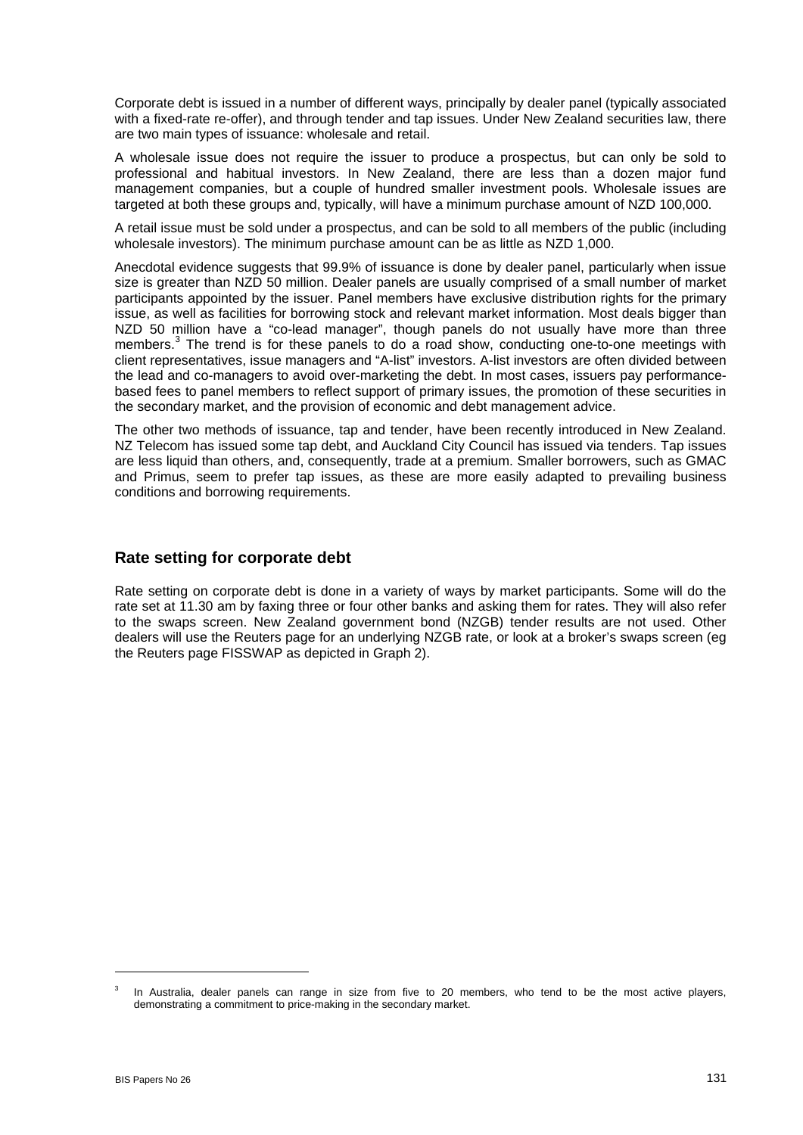Corporate debt is issued in a number of different ways, principally by dealer panel (typically associated with a fixed-rate re-offer), and through tender and tap issues. Under New Zealand securities law, there are two main types of issuance: wholesale and retail.

A wholesale issue does not require the issuer to produce a prospectus, but can only be sold to professional and habitual investors. In New Zealand, there are less than a dozen major fund management companies, but a couple of hundred smaller investment pools. Wholesale issues are targeted at both these groups and, typically, will have a minimum purchase amount of NZD 100,000.

A retail issue must be sold under a prospectus, and can be sold to all members of the public (including wholesale investors). The minimum purchase amount can be as little as NZD 1,000.

Anecdotal evidence suggests that 99.9% of issuance is done by dealer panel, particularly when issue size is greater than NZD 50 million. Dealer panels are usually comprised of a small number of market participants appointed by the issuer. Panel members have exclusive distribution rights for the primary issue, as well as facilities for borrowing stock and relevant market information. Most deals bigger than NZD 50 million have a "co-lead manager", though panels do not usually have more than three members.<sup>[3](#page-2-0)</sup> The trend is for these panels to do a road show, conducting one-to-one meetings with client representatives, issue managers and "A-list" investors. A-list investors are often divided between the lead and co-managers to avoid over-marketing the debt. In most cases, issuers pay performancebased fees to panel members to reflect support of primary issues, the promotion of these securities in the secondary market, and the provision of economic and debt management advice.

The other two methods of issuance, tap and tender, have been recently introduced in New Zealand. NZ Telecom has issued some tap debt, and Auckland City Council has issued via tenders. Tap issues are less liquid than others, and, consequently, trade at a premium. Smaller borrowers, such as GMAC and Primus, seem to prefer tap issues, as these are more easily adapted to prevailing business conditions and borrowing requirements.

## **Rate setting for corporate debt**

Rate setting on corporate debt is done in a variety of ways by market participants. Some will do the rate set at 11.30 am by faxing three or four other banks and asking them for rates. They will also refer to the swaps screen. New Zealand government bond (NZGB) tender results are not used. Other dealers will use the Reuters page for an underlying NZGB rate, or look at a broker's swaps screen (eg the Reuters page FISSWAP as depicted in Graph 2).

1

<span id="page-2-0"></span><sup>3</sup> In Australia, dealer panels can range in size from five to 20 members, who tend to be the most active players, demonstrating a commitment to price-making in the secondary market.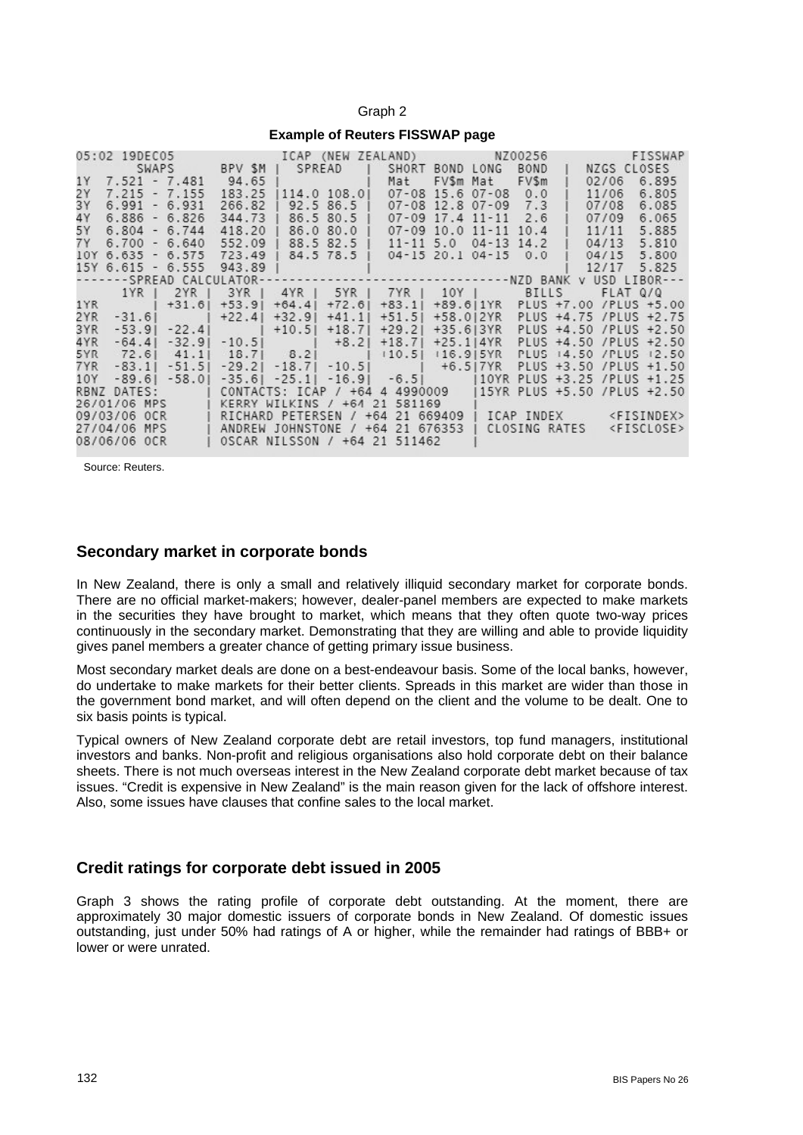| iraph |  |
|-------|--|
|-------|--|

**Example of Reuters FISSWAP page** 

|                                                |                                                               |                                                    |                                  |                                     | FISSWAP        |
|------------------------------------------------|---------------------------------------------------------------|----------------------------------------------------|----------------------------------|-------------------------------------|----------------|
| SWAPS BPV \$M   SPREAD                         |                                                               |                                                    | SHORT BOND LONG                  | BOND I                              | NZGS CLOSES    |
| 1Y 7.521 - 7.481 94.65                         | the control of the control                                    | Mat                                                | FVSm Mat                         | FV\$m<br>02/06                      | 6.895          |
| 2Y<br>$7.215 - 7.155$                          | 183.25<br>1114.0 108.01                                       |                                                    | $07 - 08$ 15.6 07-08 0.0         | 11/06                               | 6.805          |
| 3Y<br>$6.991 - 6.931$<br>4Y<br>$6.886 - 6.826$ | $266.82$  <br>92.586.5<br>344.73                              | 86.5 80.5   07-09 17.4 11-11 2.6                   | $07 - 08$ 12.8 07-09 7.3         | 07/08<br>07/09                      | 6.085<br>6.065 |
| 5Y<br>$6.804 - 6.744$                          | 418.20                                                        | 86.0 80.0   07-09 10.0 11-11 10.4                  |                                  | 11/11                               | 5.885          |
| 7 Y<br>$6.700 - 6.640$                         | 552.09<br>88.5 82.5                                           |                                                    | $11 - 11$ 5.0 04 - 13 14.2       | 04/13                               | 5.810          |
| 10Y<br>$6.635 - 6.575$                         | 723.49                                                        | 84.5 78.5   04-15 20.1 04-15 0.0                   |                                  |                                     | 04/15<br>5.800 |
| $6.615 - 6.555$<br>15Y                         | 943.89                                                        |                                                    |                                  |                                     | 12/17 5.825    |
|                                                |                                                               |                                                    |                                  |                                     |                |
| 2YR<br>1YR 1<br>$1YR$ $1YR$ $+31.6$            | 3YR   4YR   5YR   7YR   10Y   BILLS FLAT 0/0                  |                                                    |                                  |                                     |                |
|                                                | $+53.91$                                                      | $+64.4$ $+72.6$ $+83.1$                            | +89.6 1YR PLUS +7.00 /PLUS +5.00 |                                     |                |
| 2YR<br><b>Common State</b><br>$-31.61$         | $+22.41$<br>$+32.91$                                          | $+51.5$<br>$+41.1$                                 | +58.012YR                        | PLUS +4.75 / PLUS +2.75             |                |
| 3YR                                            | $-53.9$ $-22.4$   $+10.5$   $+18.7$   $+29.2$                 |                                                    | +35.613YR                        | PLUS +4.50 / PLUS +2.50             |                |
| 4YR<br>$-64.41$<br>$-32.91$                    | $-10.5$   $+8.2$   $+18.7$                                    |                                                    | $+25.1$   4YR                    | PLUS +4.50 / PLUS +2.50             |                |
| 72.6 41.1<br>5YR                               |                                                               |                                                    |                                  | PLUS 14.50 / PLUS 12.50             |                |
| 7 YR<br>$-83.11$<br>$-51.51$                   |                                                               |                                                    |                                  | PLUS +3.50 /PLUS +1.50              |                |
| 10Y<br>$-89.6$<br>$-58.01$                     | $-35.61$                                                      | $-25.1$ $-16.9$ $-6.5$ 10YR PLUS +3.25 /PLUS +1.25 |                                  |                                     |                |
| RBNZ DATES:                                    | CONTACTS: ICAP / +64 4 4990009   15YR PLUS +5.50 / PLUS +2.50 |                                                    |                                  |                                     |                |
| 26/01/06 MPS                                   | KERRY WILKINS / +64 21 581169                                 |                                                    |                                  |                                     |                |
| 09/03/06 OCR                                   | RICHARD PETERSEN / +64 21 669409                              |                                                    |                                  | ICAP INDEX <fisindex></fisindex>    |                |
| 27/04/06 MPS                                   | ANDREW JOHNSTONE / +64 21 676353                              |                                                    |                                  | CLOSING RATES <fisclose></fisclose> |                |
| 08/06/06 OCR                                   | OSCAR NILSSON / +64 21 511462                                 |                                                    |                                  |                                     |                |

Source: Reuters.

#### **Secondary market in corporate bonds**

In New Zealand, there is only a small and relatively illiquid secondary market for corporate bonds. There are no official market-makers; however, dealer-panel members are expected to make markets in the securities they have brought to market, which means that they often quote two-way prices continuously in the secondary market. Demonstrating that they are willing and able to provide liquidity gives panel members a greater chance of getting primary issue business.

Most secondary market deals are done on a best-endeavour basis. Some of the local banks, however, do undertake to make markets for their better clients. Spreads in this market are wider than those in the government bond market, and will often depend on the client and the volume to be dealt. One to six basis points is typical.

Typical owners of New Zealand corporate debt are retail investors, top fund managers, institutional investors and banks. Non-profit and religious organisations also hold corporate debt on their balance sheets. There is not much overseas interest in the New Zealand corporate debt market because of tax issues. "Credit is expensive in New Zealand" is the main reason given for the lack of offshore interest. Also, some issues have clauses that confine sales to the local market.

### **Credit ratings for corporate debt issued in 2005**

Graph 3 shows the rating profile of corporate debt outstanding. At the moment, there are approximately 30 major domestic issuers of corporate bonds in New Zealand. Of domestic issues outstanding, just under 50% had ratings of A or higher, while the remainder had ratings of BBB+ or lower or were unrated.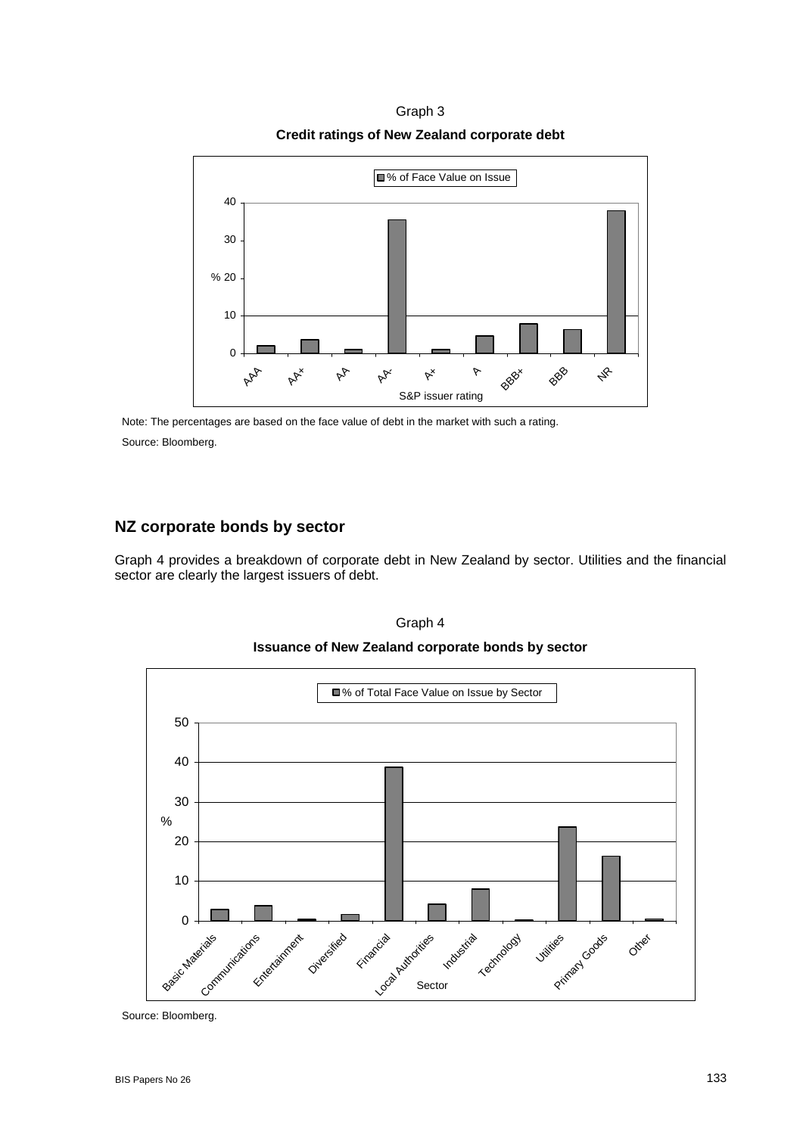Graph 3 **Credit ratings of New Zealand corporate debt** 



Note: The percentages are based on the face value of debt in the market with such a rating. Source: Bloomberg.

# **NZ corporate bonds by sector**

Graph 4 provides a breakdown of corporate debt in New Zealand by sector. Utilities and the financial sector are clearly the largest issuers of debt.



**Issuance of New Zealand corporate bonds by sector** 



Source: Bloomberg.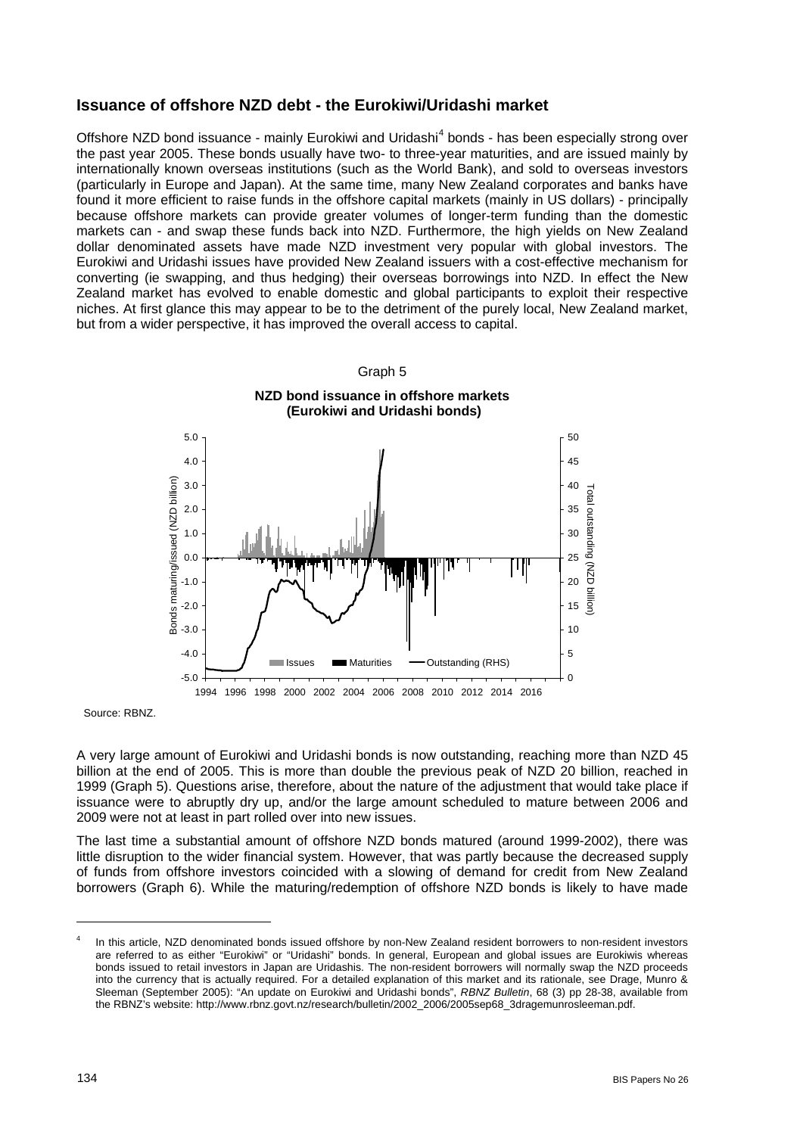# **Issuance of offshore NZD debt - the Eurokiwi/Uridashi market**

Offshore NZD bond issuance - mainly Eurokiwi and Uridashi<sup>[4](#page-5-0)</sup> bonds - has been especially strong over the past year 2005. These bonds usually have two- to three-year maturities, and are issued mainly by internationally known overseas institutions (such as the World Bank), and sold to overseas investors (particularly in Europe and Japan). At the same time, many New Zealand corporates and banks have found it more efficient to raise funds in the offshore capital markets (mainly in US dollars) - principally because offshore markets can provide greater volumes of longer-term funding than the domestic markets can - and swap these funds back into NZD. Furthermore, the high yields on New Zealand dollar denominated assets have made NZD investment very popular with global investors. The Eurokiwi and Uridashi issues have provided New Zealand issuers with a cost-effective mechanism for converting (ie swapping, and thus hedging) their overseas borrowings into NZD. In effect the New Zealand market has evolved to enable domestic and global participants to exploit their respective niches. At first glance this may appear to be to the detriment of the purely local, New Zealand market, but from a wider perspective, it has improved the overall access to capital.



Source: RBNZ.

A very large amount of Eurokiwi and Uridashi bonds is now outstanding, reaching more than NZD 45 billion at the end of 2005. This is more than double the previous peak of NZD 20 billion, reached in 1999 (Graph 5). Questions arise, therefore, about the nature of the adjustment that would take place if issuance were to abruptly dry up, and/or the large amount scheduled to mature between 2006 and 2009 were not at least in part rolled over into new issues.

The last time a substantial amount of offshore NZD bonds matured (around 1999-2002), there was little disruption to the wider financial system. However, that was partly because the decreased supply of funds from offshore investors coincided with a slowing of demand for credit from New Zealand borrowers (Graph 6). While the maturing/redemption of offshore NZD bonds is likely to have made

l

<span id="page-5-0"></span><sup>4</sup> In this article, NZD denominated bonds issued offshore by non-New Zealand resident borrowers to non-resident investors are referred to as either "Eurokiwi" or "Uridashi" bonds. In general, European and global issues are Eurokiwis whereas bonds issued to retail investors in Japan are Uridashis. The non-resident borrowers will normally swap the NZD proceeds into the currency that is actually required. For a detailed explanation of this market and its rationale, see Drage, Munro & Sleeman (September 2005): "An update on Eurokiwi and Uridashi bonds", *RBNZ Bulletin*, 68 (3) pp 28-38, available from the RBNZ's website: http://www.rbnz.govt.nz/research/bulletin/2002\_2006/2005sep68\_3dragemunrosleeman.pdf.